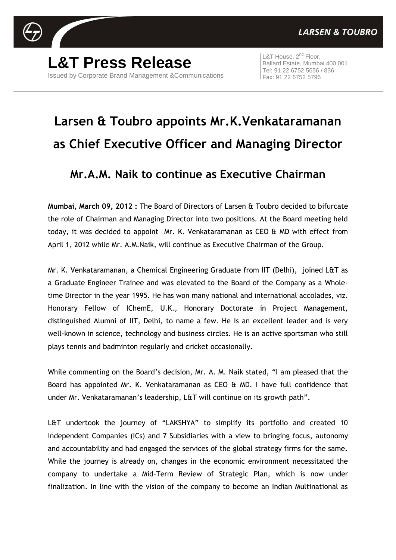

**L&T Press Release** Issued by Corporate Brand Management &Communications

L&T House, 2<sup>nd</sup> Floor, Ballard Estate, Mumbai 400 001 Tel: 91 22 6752 5656 / 836 Fax: 91 22 6752 5796

## **Larsen & Toubro appoints Mr.K.Venkataramanan as Chief Executive Officer and Managing Director**

## **Mr.A.M. Naik to continue as Executive Chairman**

**Mumbai, March 09, 2012 :** The Board of Directors of Larsen & Toubro decided to bifurcate the role of Chairman and Managing Director into two positions. At the Board meeting held today, it was decided to appoint Mr. K. Venkataramanan as CEO & MD with effect from April 1, 2012 while Mr. A.M.Naik, will continue as Executive Chairman of the Group.

Mr. K. Venkataramanan, a Chemical Engineering Graduate from IIT (Delhi), joined L&T as a Graduate Engineer Trainee and was elevated to the Board of the Company as a Wholetime Director in the year 1995. He has won many national and international accolades, viz. Honorary Fellow of IChemE, U.K., Honorary Doctorate in Project Management, distinguished Alumni of IIT, Delhi, to name a few. He is an excellent leader and is very well-known in science, technology and business circles. He is an active sportsman who still plays tennis and badminton regularly and cricket occasionally.

While commenting on the Board's decision, Mr. A. M. Naik stated, "I am pleased that the Board has appointed Mr. K. Venkataramanan as CEO & MD. I have full confidence that under Mr. Venkataramanan's leadership, L&T will continue on its growth path".

L&T undertook the journey of "LAKSHYA" to simplify its portfolio and created 10 Independent Companies (ICs) and 7 Subsidiaries with a view to bringing focus, autonomy and accountability and had engaged the services of the global strategy firms for the same. While the journey is already on, changes in the economic environment necessitated the company to undertake a Mid-Term Review of Strategic Plan, which is now under finalization. In line with the vision of the company to become an Indian Multinational as